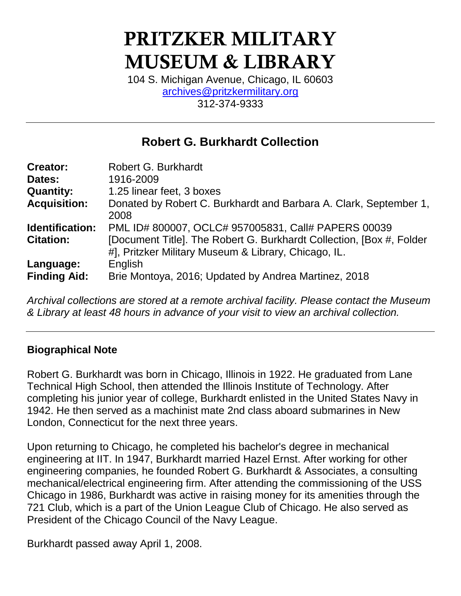# PRITZKER MILITARY MUSEUM & LIBRARY

104 S. Michigan Avenue, Chicago, IL 60603 [archives@pritzkermilitary.org](mailto:archives@pritzkermilitary.org) 312-374-9333

### **Robert G. Burkhardt Collection**

| <b>Creator:</b>                  | Robert G. Burkhardt                                                                                                          |
|----------------------------------|------------------------------------------------------------------------------------------------------------------------------|
| Dates:                           | 1916-2009                                                                                                                    |
| <b>Quantity:</b>                 | 1.25 linear feet, 3 boxes                                                                                                    |
| <b>Acquisition:</b>              | Donated by Robert C. Burkhardt and Barbara A. Clark, September 1,<br>2008                                                    |
| Identification:                  | PML ID# 800007, OCLC# 957005831, Call# PAPERS 00039                                                                          |
| <b>Citation:</b>                 | [Document Title]. The Robert G. Burkhardt Collection, [Box #, Folder<br>#], Pritzker Military Museum & Library, Chicago, IL. |
| Language:<br><b>Finding Aid:</b> | English<br>Brie Montoya, 2016; Updated by Andrea Martinez, 2018                                                              |

*Archival collections are stored at a remote archival facility. Please contact the Museum & Library at least 48 hours in advance of your visit to view an archival collection.*

#### **Biographical Note**

Robert G. Burkhardt was born in Chicago, Illinois in 1922. He graduated from Lane Technical High School, then attended the Illinois Institute of Technology. After completing his junior year of college, Burkhardt enlisted in the United States Navy in 1942. He then served as a machinist mate 2nd class aboard submarines in New London, Connecticut for the next three years.

Upon returning to Chicago, he completed his bachelor's degree in mechanical engineering at IIT. In 1947, Burkhardt married Hazel Ernst. After working for other engineering companies, he founded Robert G. Burkhardt & Associates, a consulting mechanical/electrical engineering firm. After attending the commissioning of the USS Chicago in 1986, Burkhardt was active in raising money for its amenities through the 721 Club, which is a part of the Union League Club of Chicago. He also served as President of the Chicago Council of the Navy League.

Burkhardt passed away April 1, 2008.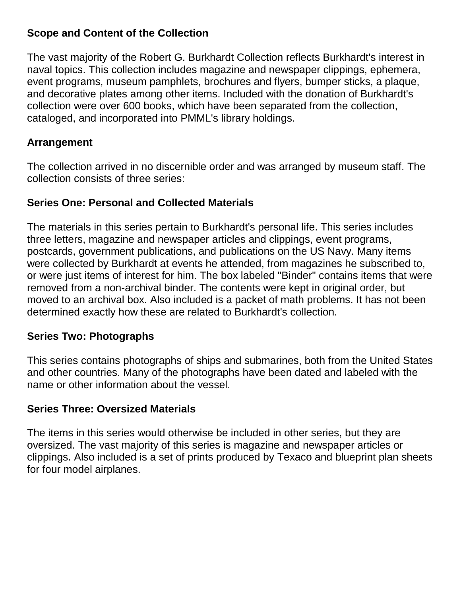#### **Scope and Content of the Collection**

The vast majority of the Robert G. Burkhardt Collection reflects Burkhardt's interest in naval topics. This collection includes magazine and newspaper clippings, ephemera, event programs, museum pamphlets, brochures and flyers, bumper sticks, a plaque, and decorative plates among other items. Included with the donation of Burkhardt's collection were over 600 books, which have been separated from the collection, cataloged, and incorporated into PMML's library holdings.

#### **Arrangement**

The collection arrived in no discernible order and was arranged by museum staff. The collection consists of three series:

#### **Series One: Personal and Collected Materials**

The materials in this series pertain to Burkhardt's personal life. This series includes three letters, magazine and newspaper articles and clippings, event programs, postcards, government publications, and publications on the US Navy. Many items were collected by Burkhardt at events he attended, from magazines he subscribed to, or were just items of interest for him. The box labeled "Binder" contains items that were removed from a non-archival binder. The contents were kept in original order, but moved to an archival box. Also included is a packet of math problems. It has not been determined exactly how these are related to Burkhardt's collection.

#### **Series Two: Photographs**

This series contains photographs of ships and submarines, both from the United States and other countries. Many of the photographs have been dated and labeled with the name or other information about the vessel.

#### **Series Three: Oversized Materials**

The items in this series would otherwise be included in other series, but they are oversized. The vast majority of this series is magazine and newspaper articles or clippings. Also included is a set of prints produced by Texaco and blueprint plan sheets for four model airplanes.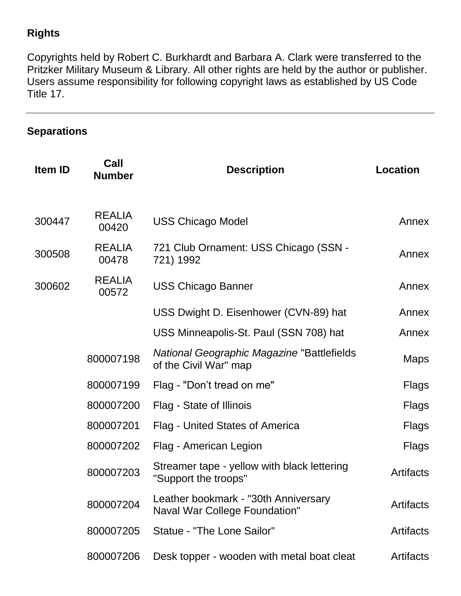#### **Rights**

Copyrights held by Robert C. Burkhardt and Barbara A. Clark were transferred to the Pritzker Military Museum & Library. All other rights are held by the author or publisher. Users assume responsibility for following copyright laws as established by US Code Title 17.

#### **Separations**

| <b>Item ID</b> | Call<br><b>Number</b>  | <b>Description</b>                                                         | <b>Location</b>  |
|----------------|------------------------|----------------------------------------------------------------------------|------------------|
| 300447         | <b>REALIA</b><br>00420 | <b>USS Chicago Model</b>                                                   | Annex            |
| 300508         | <b>REALIA</b><br>00478 | 721 Club Ornament: USS Chicago (SSN -<br>721) 1992                         | Annex            |
| 300602         | <b>REALIA</b><br>00572 | <b>USS Chicago Banner</b>                                                  | Annex            |
|                |                        | USS Dwight D. Eisenhower (CVN-89) hat                                      | Annex            |
|                |                        | USS Minneapolis-St. Paul (SSN 708) hat                                     | Annex            |
|                | 800007198              | <b>National Geographic Magazine "Battlefields</b><br>of the Civil War" map | <b>Maps</b>      |
|                | 800007199              | Flag - "Don't tread on me"                                                 | Flags            |
|                | 800007200              | Flag - State of Illinois                                                   | Flags            |
|                | 800007201              | <b>Flag - United States of America</b>                                     | Flags            |
|                | 800007202              | Flag - American Legion                                                     | Flags            |
|                | 800007203              | Streamer tape - yellow with black lettering<br>"Support the troops"        | <b>Artifacts</b> |
|                | 800007204              | Leather bookmark - "30th Anniversary<br>Naval War College Foundation"      | <b>Artifacts</b> |
|                | 800007205              | Statue - "The Lone Sailor"                                                 | <b>Artifacts</b> |
|                | 800007206              | Desk topper - wooden with metal boat cleat                                 | <b>Artifacts</b> |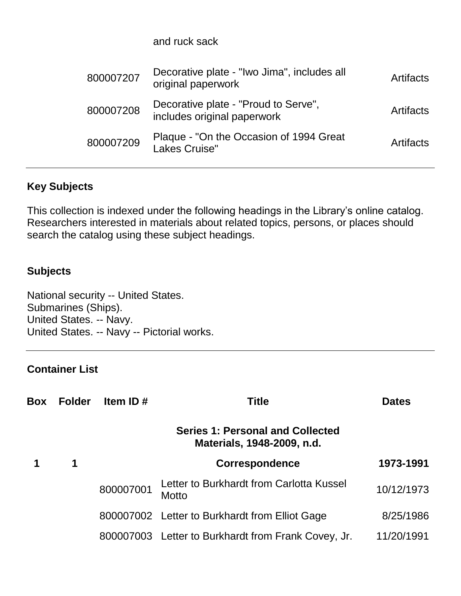and ruck sack

| 800007207 | Decorative plate - "Iwo Jima", includes all<br>original paperwork   | Artifacts |
|-----------|---------------------------------------------------------------------|-----------|
| 800007208 | Decorative plate - "Proud to Serve",<br>includes original paperwork | Artifacts |
| 800007209 | Plaque - "On the Occasion of 1994 Great<br>Lakes Cruise"            | Artifacts |

#### **Key Subjects**

This collection is indexed under the following headings in the Library's online catalog. Researchers interested in materials about related topics, persons, or places should search the catalog using these subject headings.

#### **Subjects**

National security -- United States. Submarines (Ships). United States. -- Navy. United States. -- Navy -- Pictorial works.

#### **Container List**

| Box | <b>Folder</b> | Item ID $#$ | <b>Title</b>                                                          | <b>Dates</b> |
|-----|---------------|-------------|-----------------------------------------------------------------------|--------------|
|     |               |             | <b>Series 1: Personal and Collected</b><br>Materials, 1948-2009, n.d. |              |
|     | 1             |             | <b>Correspondence</b>                                                 | 1973-1991    |
|     |               | 800007001   | Letter to Burkhardt from Carlotta Kussel<br>Motto                     | 10/12/1973   |
|     |               |             | 800007002 Letter to Burkhardt from Elliot Gage                        | 8/25/1986    |
|     |               |             | 800007003 Letter to Burkhardt from Frank Covey, Jr.                   | 11/20/1991   |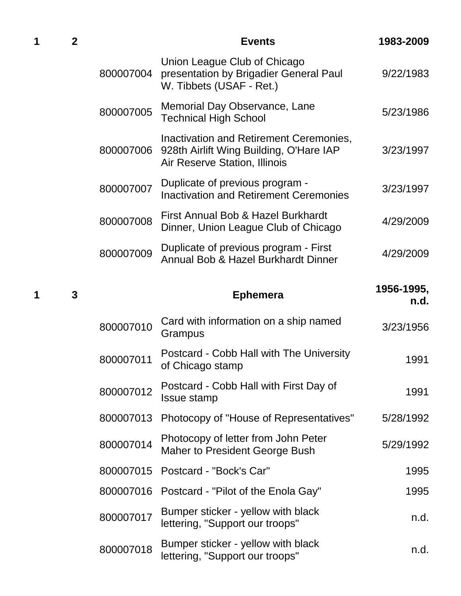| 1 | $\overline{2}$ |           | <b>Events</b>                                                                                                       | 1983-2009          |
|---|----------------|-----------|---------------------------------------------------------------------------------------------------------------------|--------------------|
|   |                | 800007004 | Union League Club of Chicago<br>presentation by Brigadier General Paul<br>W. Tibbets (USAF - Ret.)                  | 9/22/1983          |
|   |                | 800007005 | Memorial Day Observance, Lane<br><b>Technical High School</b>                                                       | 5/23/1986          |
|   |                | 800007006 | Inactivation and Retirement Ceremonies,<br>928th Airlift Wing Building, O'Hare IAP<br>Air Reserve Station, Illinois | 3/23/1997          |
|   |                | 800007007 | Duplicate of previous program -<br><b>Inactivation and Retirement Ceremonies</b>                                    | 3/23/1997          |
|   |                | 800007008 | First Annual Bob & Hazel Burkhardt<br>Dinner, Union League Club of Chicago                                          | 4/29/2009          |
|   |                | 800007009 | Duplicate of previous program - First<br>Annual Bob & Hazel Burkhardt Dinner                                        | 4/29/2009          |
| 1 | 3              |           | <b>Ephemera</b>                                                                                                     | 1956-1995,<br>n.d. |
|   |                | 800007010 | Card with information on a ship named<br>Grampus                                                                    | 3/23/1956          |
|   |                | 800007011 | Postcard - Cobb Hall with The University<br>of Chicago stamp                                                        | 1991               |
|   |                | 800007012 | Postcard - Cobb Hall with First Day of<br>Issue stamp                                                               | 1991               |
|   |                |           |                                                                                                                     |                    |
|   |                | 800007013 | Photocopy of "House of Representatives"                                                                             | 5/28/1992          |
|   |                | 800007014 | Photocopy of letter from John Peter<br><b>Maher to President George Bush</b>                                        | 5/29/1992          |
|   |                | 800007015 | Postcard - "Bock's Car"                                                                                             | 1995               |
|   |                | 800007016 | Postcard - "Pilot of the Enola Gay"                                                                                 | 1995               |
|   |                | 800007017 | Bumper sticker - yellow with black<br>lettering, "Support our troops"                                               | n.d.               |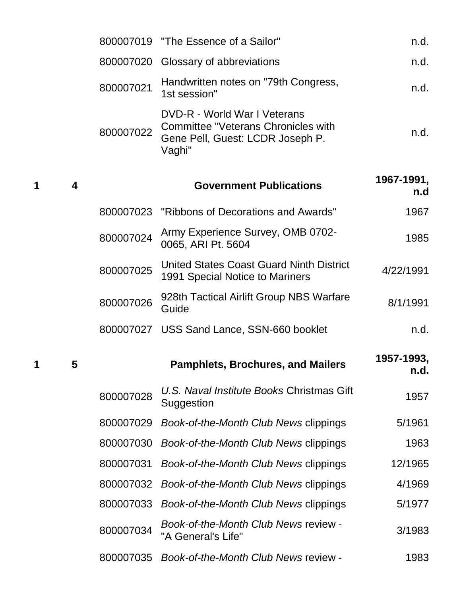|   |   |           | 800007019 "The Essence of a Sailor"                                                                               | n.d.               |
|---|---|-----------|-------------------------------------------------------------------------------------------------------------------|--------------------|
|   |   |           | 800007020 Glossary of abbreviations                                                                               | n.d.               |
|   |   | 800007021 | Handwritten notes on "79th Congress,<br>1st session"                                                              | n.d.               |
|   |   | 800007022 | DVD-R - World War I Veterans<br>Committee "Veterans Chronicles with<br>Gene Pell, Guest: LCDR Joseph P.<br>Vaghi" | n.d.               |
| 1 | 4 |           | <b>Government Publications</b>                                                                                    | 1967-1991,<br>n.d  |
|   |   |           | 800007023 "Ribbons of Decorations and Awards"                                                                     | 1967               |
|   |   | 800007024 | Army Experience Survey, OMB 0702-<br>0065, ARI Pt. 5604                                                           | 1985               |
|   |   | 800007025 | United States Coast Guard Ninth District<br>1991 Special Notice to Mariners                                       | 4/22/1991          |
|   |   | 800007026 | 928th Tactical Airlift Group NBS Warfare<br>Guide                                                                 | 8/1/1991           |
|   |   |           | 800007027 USS Sand Lance, SSN-660 booklet                                                                         | n.d.               |
| 1 | 5 |           | <b>Pamphlets, Brochures, and Mailers</b>                                                                          | 1957-1993,<br>n.d. |
|   |   | 800007028 | U.S. Naval Institute Books Christmas Gift<br>Suggestion                                                           | 1957               |
|   |   | 800007029 | Book-of-the-Month Club News clippings                                                                             | 5/1961             |
|   |   | 800007030 | Book-of-the-Month Club News clippings                                                                             | 1963               |
|   |   | 800007031 | Book-of-the-Month Club News clippings                                                                             | 12/1965            |
|   |   | 800007032 | Book-of-the-Month Club News clippings                                                                             | 4/1969             |
|   |   | 800007033 | Book-of-the-Month Club News clippings                                                                             | 5/1977             |
|   |   | 800007034 | Book-of-the-Month Club News review -<br>"A General's Life"                                                        | 3/1983             |
|   |   | 800007035 | Book-of-the-Month Club News review -                                                                              | 1983               |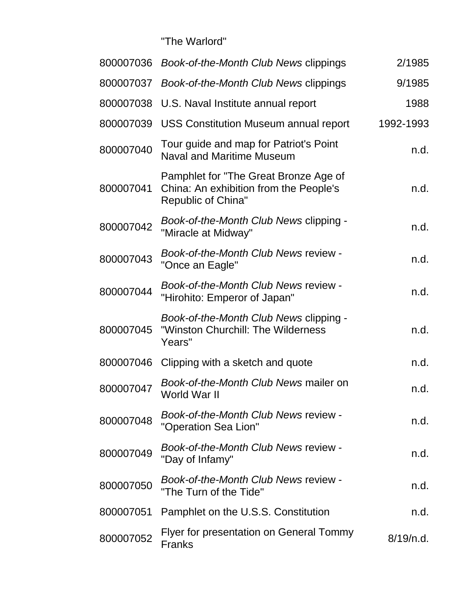"The Warlord"

| 800007036 | Book-of-the-Month Club News clippings                                                                 | 2/1985    |
|-----------|-------------------------------------------------------------------------------------------------------|-----------|
| 800007037 | Book-of-the-Month Club News clippings                                                                 | 9/1985    |
|           | 800007038 U.S. Naval Institute annual report                                                          | 1988      |
| 800007039 | <b>USS Constitution Museum annual report</b>                                                          | 1992-1993 |
| 800007040 | Tour guide and map for Patriot's Point<br><b>Naval and Maritime Museum</b>                            | n.d.      |
| 800007041 | Pamphlet for "The Great Bronze Age of<br>China: An exhibition from the People's<br>Republic of China" | n.d.      |
| 800007042 | Book-of-the-Month Club News clipping -<br>"Miracle at Midway"                                         | n.d.      |
| 800007043 | Book-of-the-Month Club News review -<br>"Once an Eagle"                                               | n.d.      |
| 800007044 | Book-of-the-Month Club News review -<br>"Hirohito: Emperor of Japan"                                  | n.d.      |
| 800007045 | Book-of-the-Month Club News clipping -<br>"Winston Churchill: The Wilderness<br>Years"                | n.d.      |
| 800007046 | Clipping with a sketch and quote                                                                      | n.d.      |
| 800007047 | Book-of-the-Month Club News mailer on<br>World War II                                                 | n.d.      |
| 800007048 | Book-of-the-Month Club News review -<br>"Operation Sea Lion"                                          | n.d.      |
| 800007049 | Book-of-the-Month Club News review -<br>"Day of Infamy"                                               | n.d.      |
| 800007050 | Book-of-the-Month Club News review -<br>"The Turn of the Tide"                                        | n.d.      |
| 800007051 | Pamphlet on the U.S.S. Constitution                                                                   | n.d.      |
| 800007052 | Flyer for presentation on General Tommy<br><b>Franks</b>                                              | 8/19/n.d. |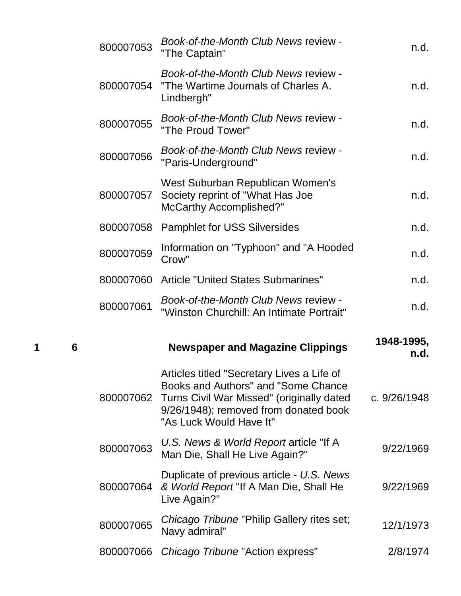|   |   | 800007053 | Book-of-the-Month Club News review -<br>"The Captain"                                                                                                                                              | n.d.               |
|---|---|-----------|----------------------------------------------------------------------------------------------------------------------------------------------------------------------------------------------------|--------------------|
|   |   | 800007054 | Book-of-the-Month Club News review -<br>"The Wartime Journals of Charles A.<br>Lindbergh"                                                                                                          | n.d.               |
|   |   | 800007055 | Book-of-the-Month Club News review -<br>"The Proud Tower"                                                                                                                                          | n.d.               |
|   |   | 800007056 | Book-of-the-Month Club News review -<br>"Paris-Underground"                                                                                                                                        | n.d.               |
|   |   | 800007057 | West Suburban Republican Women's<br>Society reprint of "What Has Joe<br><b>McCarthy Accomplished?"</b>                                                                                             | n.d.               |
|   |   | 800007058 | <b>Pamphlet for USS Silversides</b>                                                                                                                                                                | n.d.               |
|   |   | 800007059 | Information on "Typhoon" and "A Hooded<br>Crow"                                                                                                                                                    | n.d.               |
|   |   | 800007060 | <b>Article "United States Submarines"</b>                                                                                                                                                          | n.d.               |
|   |   | 800007061 | Book-of-the-Month Club News review -<br>"Winston Churchill: An Intimate Portrait"                                                                                                                  | n.d.               |
|   |   |           |                                                                                                                                                                                                    |                    |
| 1 | 6 |           | <b>Newspaper and Magazine Clippings</b>                                                                                                                                                            | 1948-1995,<br>n.d. |
|   |   | 800007062 | Articles titled "Secretary Lives a Life of<br>Books and Authors" and "Some Chance<br>Turns Civil War Missed" (originally dated<br>9/26/1948); removed from donated book<br>"As Luck Would Have It" | c. 9/26/1948       |
|   |   | 800007063 | U.S. News & World Report article "If A<br>Man Die, Shall He Live Again?"                                                                                                                           | 9/22/1969          |
|   |   | 800007064 | Duplicate of previous article - U.S. News<br>& World Report "If A Man Die, Shall He<br>Live Again?"                                                                                                | 9/22/1969          |
|   |   | 800007065 | Chicago Tribune "Philip Gallery rites set;<br>Navy admiral"                                                                                                                                        | 12/1/1973          |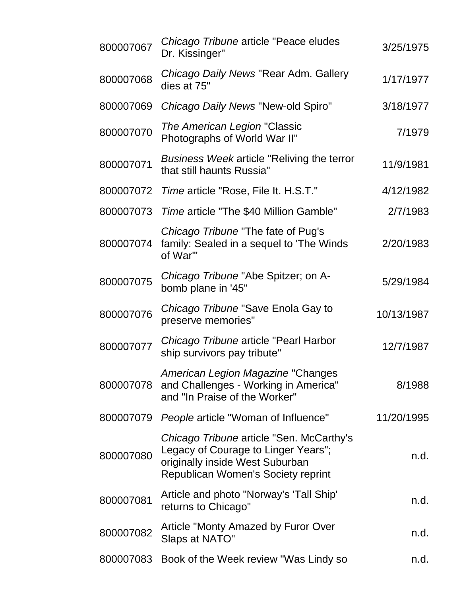| 800007067 | Chicago Tribune article "Peace eludes<br>Dr. Kissinger"                                                                                                  | 3/25/1975  |
|-----------|----------------------------------------------------------------------------------------------------------------------------------------------------------|------------|
| 800007068 | Chicago Daily News "Rear Adm. Gallery<br>dies at 75"                                                                                                     | 1/17/1977  |
| 800007069 | Chicago Daily News "New-old Spiro"                                                                                                                       | 3/18/1977  |
| 800007070 | The American Legion "Classic<br>Photographs of World War II"                                                                                             | 7/1979     |
| 800007071 | <b>Business Week article "Reliving the terror</b><br>that still haunts Russia"                                                                           | 11/9/1981  |
| 800007072 | Time article "Rose, File It. H.S.T."                                                                                                                     | 4/12/1982  |
| 800007073 | Time article "The \$40 Million Gamble"                                                                                                                   | 2/7/1983   |
| 800007074 | Chicago Tribune "The fate of Pug's<br>family: Sealed in a sequel to 'The Winds<br>of War"                                                                | 2/20/1983  |
| 800007075 | Chicago Tribune "Abe Spitzer; on A-<br>bomb plane in '45"                                                                                                | 5/29/1984  |
| 800007076 | Chicago Tribune "Save Enola Gay to<br>preserve memories"                                                                                                 | 10/13/1987 |
| 800007077 | Chicago Tribune article "Pearl Harbor"<br>ship survivors pay tribute"                                                                                    | 12/7/1987  |
| 800007078 | American Legion Magazine "Changes<br>and Challenges - Working in America"<br>and "In Praise of the Worker"                                               | 8/1988     |
| 800007079 | People article "Woman of Influence"                                                                                                                      | 11/20/1995 |
| 800007080 | Chicago Tribune article "Sen. McCarthy's<br>Legacy of Courage to Linger Years";<br>originally inside West Suburban<br>Republican Women's Society reprint | n.d.       |
| 800007081 | Article and photo "Norway's 'Tall Ship'<br>returns to Chicago"                                                                                           | n.d.       |
| 800007082 | Article "Monty Amazed by Furor Over<br>Slaps at NATO"                                                                                                    | n.d.       |
| 800007083 | Book of the Week review "Was Lindy so                                                                                                                    | n.d.       |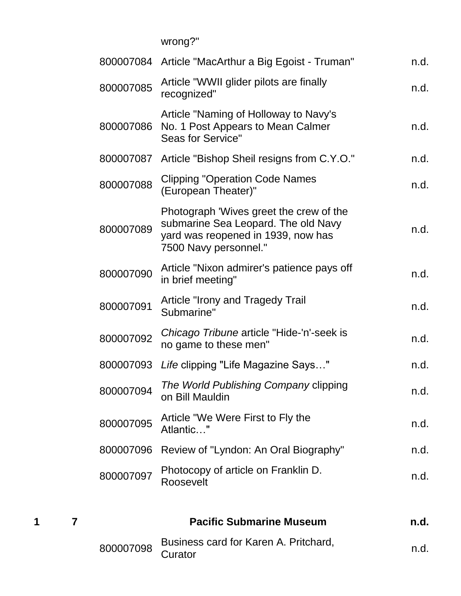wrong?"

|           | 800007084 Article "MacArthur a Big Egoist - Truman"                                                                                           | n.d. |
|-----------|-----------------------------------------------------------------------------------------------------------------------------------------------|------|
| 800007085 | Article "WWII glider pilots are finally<br>recognized"                                                                                        | n.d. |
| 800007086 | Article "Naming of Holloway to Navy's<br>No. 1 Post Appears to Mean Calmer<br>Seas for Service"                                               | n.d. |
| 800007087 | Article "Bishop Sheil resigns from C.Y.O."                                                                                                    | n.d. |
| 800007088 | <b>Clipping "Operation Code Names</b><br>(European Theater)"                                                                                  | n.d. |
| 800007089 | Photograph 'Wives greet the crew of the<br>submarine Sea Leopard. The old Navy<br>yard was reopened in 1939, now has<br>7500 Navy personnel." | n.d. |
| 800007090 | Article "Nixon admirer's patience pays off<br>in brief meeting"                                                                               | n.d. |
| 800007091 | Article "Irony and Tragedy Trail<br>Submarine"                                                                                                | n.d. |
| 800007092 | Chicago Tribune article "Hide-'n'-seek is<br>no game to these men"                                                                            | n.d. |
|           | 800007093 Life clipping "Life Magazine Says"                                                                                                  | n.d. |
| 800007094 | The World Publishing Company clipping<br>on Bill Mauldin                                                                                      | n.d. |
| 800007095 | Article "We Were First to Fly the<br>Atlantic"                                                                                                | n.d. |
| 800007096 | Review of "Lyndon: An Oral Biography"                                                                                                         | n.d. |
| 800007097 | Photocopy of article on Franklin D.<br>Roosevelt                                                                                              | n.d. |
|           |                                                                                                                                               |      |

**1 7 Pacific Submarine Museum n.d.** <sup>800007098</sup> Business card for Karen A. Pritchard, Dusiness card for Rafer A. Findriard, executively mediately mediately mediately mediately mediately mediately  $n.d.$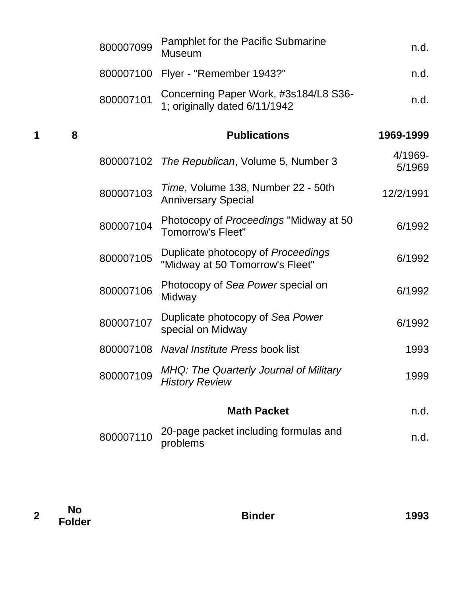|   |   | 800007099 | <b>Pamphlet for the Pacific Submarine</b><br><b>Museum</b>             | n.d.              |
|---|---|-----------|------------------------------------------------------------------------|-------------------|
|   |   | 800007100 | Flyer - "Remember 1943?"                                               | n.d.              |
|   |   | 800007101 | Concerning Paper Work, #3s184/L8 S36-<br>1; originally dated 6/11/1942 | n.d.              |
| 1 | 8 |           | <b>Publications</b>                                                    | 1969-1999         |
|   |   | 800007102 | The Republican, Volume 5, Number 3                                     | 4/1969-<br>5/1969 |
|   |   | 800007103 | Time, Volume 138, Number 22 - 50th<br><b>Anniversary Special</b>       | 12/2/1991         |
|   |   | 800007104 | Photocopy of Proceedings "Midway at 50<br><b>Tomorrow's Fleet"</b>     | 6/1992            |
|   |   | 800007105 | Duplicate photocopy of Proceedings<br>"Midway at 50 Tomorrow's Fleet"  | 6/1992            |
|   |   | 800007106 | Photocopy of Sea Power special on<br>Midway                            | 6/1992            |
|   |   | 800007107 | Duplicate photocopy of Sea Power<br>special on Midway                  | 6/1992            |
|   |   | 800007108 | Naval Institute Press book list                                        | 1993              |
|   |   | 800007109 | MHQ: The Quarterly Journal of Military<br><b>History Review</b>        | 1999              |
|   |   |           | <b>Math Packet</b>                                                     | n.d.              |
|   |   | 800007110 | 20-page packet including formulas and<br>problems                      | n.d.              |
|   |   |           |                                                                        |                   |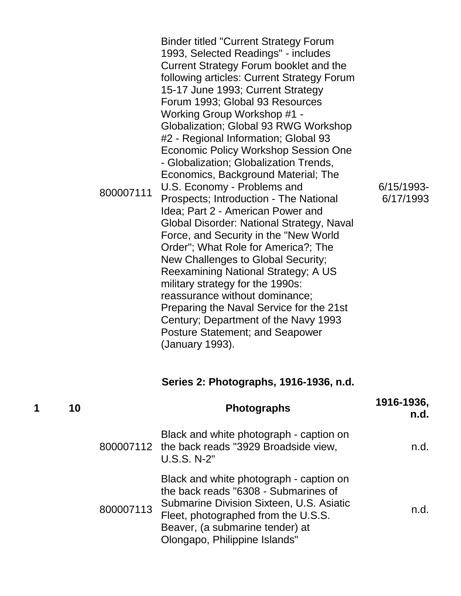| 800007111 | <b>Binder titled "Current Strategy Forum</b><br>1993, Selected Readings" - includes<br>Current Strategy Forum booklet and the<br>following articles: Current Strategy Forum<br>15-17 June 1993; Current Strategy<br>Forum 1993; Global 93 Resources<br>Working Group Workshop #1 -<br>Globalization; Global 93 RWG Workshop<br>#2 - Regional Information; Global 93<br><b>Economic Policy Workshop Session One</b><br>- Globalization; Globalization Trends,<br>Economics, Background Material; The<br>U.S. Economy - Problems and<br>Prospects; Introduction - The National<br>Idea; Part 2 - American Power and<br>Global Disorder: National Strategy, Naval<br>Force, and Security in the "New World<br>Order"; What Role for America?; The<br>New Challenges to Global Security;<br>Reexamining National Strategy; A US<br>military strategy for the 1990s:<br>reassurance without dominance;<br>Preparing the Naval Service for the 21st<br>Century; Department of the Navy 1993<br><b>Posture Statement; and Seapower</b><br>(January 1993). | 6/15/1993-<br>6/17/1993 |
|-----------|----------------------------------------------------------------------------------------------------------------------------------------------------------------------------------------------------------------------------------------------------------------------------------------------------------------------------------------------------------------------------------------------------------------------------------------------------------------------------------------------------------------------------------------------------------------------------------------------------------------------------------------------------------------------------------------------------------------------------------------------------------------------------------------------------------------------------------------------------------------------------------------------------------------------------------------------------------------------------------------------------------------------------------------------------|-------------------------|
|-----------|----------------------------------------------------------------------------------------------------------------------------------------------------------------------------------------------------------------------------------------------------------------------------------------------------------------------------------------------------------------------------------------------------------------------------------------------------------------------------------------------------------------------------------------------------------------------------------------------------------------------------------------------------------------------------------------------------------------------------------------------------------------------------------------------------------------------------------------------------------------------------------------------------------------------------------------------------------------------------------------------------------------------------------------------------|-------------------------|

## **Series 2: Photographs, 1916-1936, n.d.**

| 1 | 10 |           | <b>Photographs</b>                                                                                                                                                                                                                     | 1916-1936,<br>n.d. |
|---|----|-----------|----------------------------------------------------------------------------------------------------------------------------------------------------------------------------------------------------------------------------------------|--------------------|
|   |    |           | Black and white photograph - caption on<br>800007112 the back reads "3929 Broadside view,<br><b>U.S.S. N-2"</b>                                                                                                                        | n.d.               |
|   |    | 800007113 | Black and white photograph - caption on<br>the back reads "6308 - Submarines of<br>Submarine Division Sixteen, U.S. Asiatic<br>Fleet, photographed from the U.S.S.<br>Beaver, (a submarine tender) at<br>Olongapo, Philippine Islands" | n.d.               |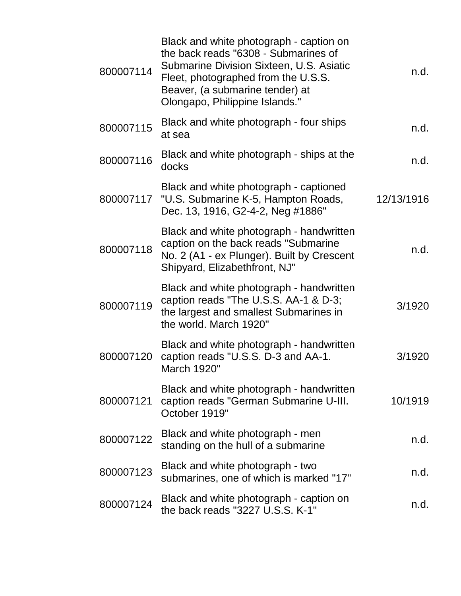| 800007114 | Black and white photograph - caption on<br>the back reads "6308 - Submarines of<br>Submarine Division Sixteen, U.S. Asiatic<br>Fleet, photographed from the U.S.S.<br>Beaver, (a submarine tender) at<br>Olongapo, Philippine Islands." | n.d.       |
|-----------|-----------------------------------------------------------------------------------------------------------------------------------------------------------------------------------------------------------------------------------------|------------|
| 800007115 | Black and white photograph - four ships<br>at sea                                                                                                                                                                                       | n.d.       |
| 800007116 | Black and white photograph - ships at the<br>docks                                                                                                                                                                                      | n.d.       |
| 800007117 | Black and white photograph - captioned<br>"U.S. Submarine K-5, Hampton Roads,<br>Dec. 13, 1916, G2-4-2, Neg #1886"                                                                                                                      | 12/13/1916 |
| 800007118 | Black and white photograph - handwritten<br>caption on the back reads "Submarine<br>No. 2 (A1 - ex Plunger). Built by Crescent<br>Shipyard, Elizabethfront, NJ"                                                                         | n.d.       |
| 800007119 | Black and white photograph - handwritten<br>caption reads "The U.S.S. AA-1 & D-3;<br>the largest and smallest Submarines in<br>the world. March 1920"                                                                                   | 3/1920     |
| 800007120 | Black and white photograph - handwritten<br>caption reads "U.S.S. D-3 and AA-1.<br>March 1920"                                                                                                                                          | 3/1920     |
| 800007121 | Black and white photograph - handwritten<br>caption reads "German Submarine U-III.<br>October 1919"                                                                                                                                     | 10/1919    |
| 800007122 | Black and white photograph - men<br>standing on the hull of a submarine                                                                                                                                                                 | n.d.       |
| 800007123 | Black and white photograph - two<br>submarines, one of which is marked "17"                                                                                                                                                             | n.d.       |
| 800007124 | Black and white photograph - caption on<br>the back reads "3227 U.S.S. K-1"                                                                                                                                                             | n.d.       |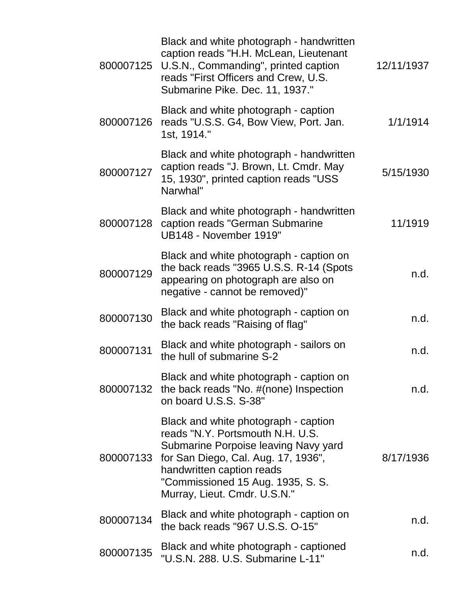|           | Black and white photograph - handwritten<br>caption reads "H.H. McLean, Lieutenant<br>800007125 U.S.N., Commanding", printed caption<br>reads "First Officers and Crew, U.S.<br>Submarine Pike. Dec. 11, 1937."                                           | 12/11/1937 |
|-----------|-----------------------------------------------------------------------------------------------------------------------------------------------------------------------------------------------------------------------------------------------------------|------------|
| 800007126 | Black and white photograph - caption<br>reads "U.S.S. G4, Bow View, Port. Jan.<br>1st, 1914."                                                                                                                                                             | 1/1/1914   |
| 800007127 | Black and white photograph - handwritten<br>caption reads "J. Brown, Lt. Cmdr. May<br>15, 1930", printed caption reads "USS<br>Narwhal"                                                                                                                   | 5/15/1930  |
| 800007128 | Black and white photograph - handwritten<br>caption reads "German Submarine<br>UB148 - November 1919"                                                                                                                                                     | 11/1919    |
| 800007129 | Black and white photograph - caption on<br>the back reads "3965 U.S.S. R-14 (Spots<br>appearing on photograph are also on<br>negative - cannot be removed)"                                                                                               | n.d.       |
| 800007130 | Black and white photograph - caption on<br>the back reads "Raising of flag"                                                                                                                                                                               | n.d.       |
| 800007131 | Black and white photograph - sailors on<br>the hull of submarine S-2                                                                                                                                                                                      | n.d.       |
| 800007132 | Black and white photograph - caption on<br>the back reads "No. #(none) Inspection<br>on board U.S.S. S-38"                                                                                                                                                | n.d.       |
| 800007133 | Black and white photograph - caption<br>reads "N.Y. Portsmouth N.H. U.S.<br>Submarine Porpoise leaving Navy yard<br>for San Diego, Cal. Aug. 17, 1936",<br>handwritten caption reads<br>"Commissioned 15 Aug. 1935, S. S.<br>Murray, Lieut. Cmdr. U.S.N." | 8/17/1936  |
| 800007134 | Black and white photograph - caption on<br>the back reads "967 U.S.S. O-15"                                                                                                                                                                               | n.d.       |
| 800007135 | Black and white photograph - captioned<br>"U.S.N. 288. U.S. Submarine L-11"                                                                                                                                                                               | n.d.       |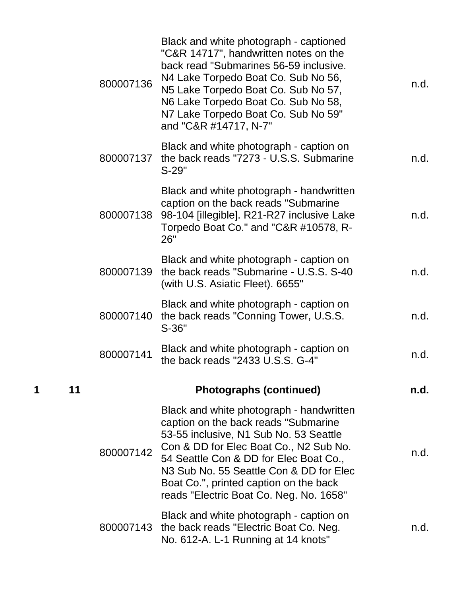| 800007136 | Black and white photograph - captioned<br>"C&R 14717", handwritten notes on the<br>back read "Submarines 56-59 inclusive.<br>N4 Lake Torpedo Boat Co. Sub No 56,<br>N5 Lake Torpedo Boat Co. Sub No 57,<br>N6 Lake Torpedo Boat Co. Sub No 58,<br>N7 Lake Torpedo Boat Co. Sub No 59"<br>and "C&R #14717, N-7"                                 | n.d. |
|-----------|------------------------------------------------------------------------------------------------------------------------------------------------------------------------------------------------------------------------------------------------------------------------------------------------------------------------------------------------|------|
| 800007137 | Black and white photograph - caption on<br>the back reads "7273 - U.S.S. Submarine<br>S-29"                                                                                                                                                                                                                                                    | n.d. |
| 800007138 | Black and white photograph - handwritten<br>caption on the back reads "Submarine<br>98-104 [illegible]. R21-R27 inclusive Lake<br>Torpedo Boat Co." and "C&R #10578, R-<br>26"                                                                                                                                                                 | n.d. |
| 800007139 | Black and white photograph - caption on<br>the back reads "Submarine - U.S.S. S-40<br>(with U.S. Asiatic Fleet). 6655"                                                                                                                                                                                                                         | n.d. |
| 800007140 | Black and white photograph - caption on<br>the back reads "Conning Tower, U.S.S.<br>$S-36"$                                                                                                                                                                                                                                                    | n.d. |
| 800007141 | Black and white photograph - caption on<br>the back reads "2433 U.S.S. G-4"                                                                                                                                                                                                                                                                    | n.d. |
|           | <b>Photographs (continued)</b>                                                                                                                                                                                                                                                                                                                 | n.d. |
| 800007142 | Black and white photograph - handwritten<br>caption on the back reads "Submarine<br>53-55 inclusive, N1 Sub No. 53 Seattle<br>Con & DD for Elec Boat Co., N2 Sub No.<br>54 Seattle Con & DD for Elec Boat Co.,<br>N3 Sub No. 55 Seattle Con & DD for Elec<br>Boat Co.", printed caption on the back<br>reads "Electric Boat Co. Neg. No. 1658" | n.d. |
| 800007143 | Black and white photograph - caption on<br>the back reads "Electric Boat Co. Neg.<br>No. 612-A. L-1 Running at 14 knots"                                                                                                                                                                                                                       | n.d. |

**1 11 Photographs (continued) n.d.**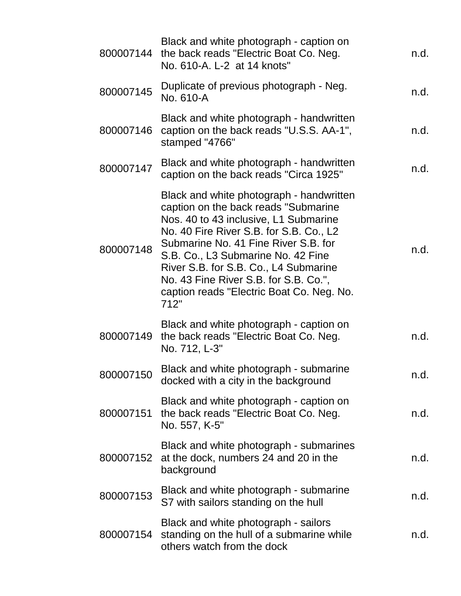| 800007144 | Black and white photograph - caption on<br>the back reads "Electric Boat Co. Neg.<br>No. 610-A. L-2 at 14 knots"                                                                                                                                                                                                                                                                          | n.d. |
|-----------|-------------------------------------------------------------------------------------------------------------------------------------------------------------------------------------------------------------------------------------------------------------------------------------------------------------------------------------------------------------------------------------------|------|
| 800007145 | Duplicate of previous photograph - Neg.<br>No. 610-A                                                                                                                                                                                                                                                                                                                                      | n.d. |
| 800007146 | Black and white photograph - handwritten<br>caption on the back reads "U.S.S. AA-1",<br>stamped "4766"                                                                                                                                                                                                                                                                                    | n.d. |
| 800007147 | Black and white photograph - handwritten<br>caption on the back reads "Circa 1925"                                                                                                                                                                                                                                                                                                        | n.d. |
| 800007148 | Black and white photograph - handwritten<br>caption on the back reads "Submarine<br>Nos. 40 to 43 inclusive, L1 Submarine<br>No. 40 Fire River S.B. for S.B. Co., L2<br>Submarine No. 41 Fine River S.B. for<br>S.B. Co., L3 Submarine No. 42 Fine<br>River S.B. for S.B. Co., L4 Submarine<br>No. 43 Fine River S.B. for S.B. Co.",<br>caption reads "Electric Boat Co. Neg. No.<br>712" | n.d. |
| 800007149 | Black and white photograph - caption on<br>the back reads "Electric Boat Co. Neg.<br>No. 712, L-3"                                                                                                                                                                                                                                                                                        | n.d. |
| 800007150 | Black and white photograph - submarine<br>docked with a city in the background                                                                                                                                                                                                                                                                                                            | n.d. |
| 800007151 | Black and white photograph - caption on<br>the back reads "Electric Boat Co. Neg.<br>No. 557, K-5"                                                                                                                                                                                                                                                                                        | n.d. |
| 800007152 | Black and white photograph - submarines<br>at the dock, numbers 24 and 20 in the<br>background                                                                                                                                                                                                                                                                                            | n.d. |
| 800007153 | Black and white photograph - submarine<br>S7 with sailors standing on the hull                                                                                                                                                                                                                                                                                                            | n.d. |
| 800007154 | Black and white photograph - sailors<br>standing on the hull of a submarine while<br>others watch from the dock                                                                                                                                                                                                                                                                           | n.d. |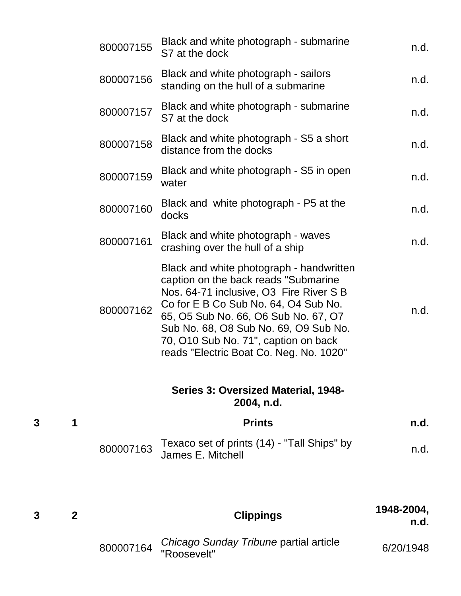|   |   | 800007155 | Black and white photograph - submarine<br>S7 at the dock                                                                                                                                                                                                                                                                                | n.d. |
|---|---|-----------|-----------------------------------------------------------------------------------------------------------------------------------------------------------------------------------------------------------------------------------------------------------------------------------------------------------------------------------------|------|
|   |   | 800007156 | Black and white photograph - sailors<br>standing on the hull of a submarine                                                                                                                                                                                                                                                             | n.d. |
|   |   | 800007157 | Black and white photograph - submarine<br>S7 at the dock                                                                                                                                                                                                                                                                                | n.d. |
|   |   | 800007158 | Black and white photograph - S5 a short<br>distance from the docks                                                                                                                                                                                                                                                                      | n.d. |
|   |   | 800007159 | Black and white photograph - S5 in open<br>water                                                                                                                                                                                                                                                                                        | n.d. |
|   |   | 800007160 | Black and white photograph - P5 at the<br>docks                                                                                                                                                                                                                                                                                         | n.d. |
|   |   | 800007161 | Black and white photograph - waves<br>crashing over the hull of a ship                                                                                                                                                                                                                                                                  | n.d. |
|   |   | 800007162 | Black and white photograph - handwritten<br>caption on the back reads "Submarine<br>Nos. 64-71 inclusive, O3 Fire River S B<br>Co for E B Co Sub No. 64, O4 Sub No.<br>65, O5 Sub No. 66, O6 Sub No. 67, O7<br>Sub No. 68, O8 Sub No. 69, O9 Sub No.<br>70, O10 Sub No. 71", caption on back<br>reads "Electric Boat Co. Neg. No. 1020" | n.d. |
|   |   |           | Series 3: Oversized Material, 1948-<br>2004, n.d.                                                                                                                                                                                                                                                                                       |      |
| 3 | 1 |           | <b>Prints</b>                                                                                                                                                                                                                                                                                                                           | n.d. |
|   |   | 800007163 | Texaco set of prints (14) - "Tall Ships" by<br>James E. Mitchell                                                                                                                                                                                                                                                                        | n.d. |
|   |   |           |                                                                                                                                                                                                                                                                                                                                         |      |

**<sup>3</sup> <sup>2</sup> Clippings 1948-2004, n.d.** <sup>800007164</sup> *Chicago Sunday Tribune* partial article Sincago Sanday Thounc partial article 6/20/1948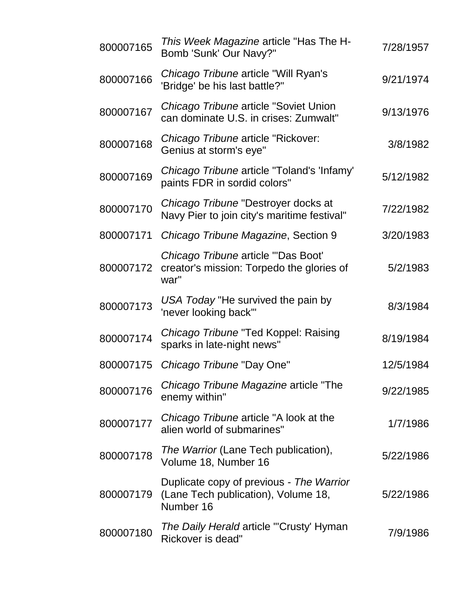| 800007165 | This Week Magazine article "Has The H-<br>Bomb 'Sunk' Our Navy?"                             | 7/28/1957 |
|-----------|----------------------------------------------------------------------------------------------|-----------|
| 800007166 | Chicago Tribune article "Will Ryan's<br>'Bridge' be his last battle?"                        | 9/21/1974 |
| 800007167 | Chicago Tribune article "Soviet Union<br>can dominate U.S. in crises: Zumwalt"               | 9/13/1976 |
| 800007168 | Chicago Tribune article "Rickover:<br>Genius at storm's eye"                                 | 3/8/1982  |
| 800007169 | Chicago Tribune article "Toland's 'Infamy'<br>paints FDR in sordid colors"                   | 5/12/1982 |
| 800007170 | Chicago Tribune "Destroyer docks at<br>Navy Pier to join city's maritime festival"           | 7/22/1982 |
| 800007171 | Chicago Tribune Magazine, Section 9                                                          | 3/20/1983 |
| 800007172 | Chicago Tribune article "'Das Boot'<br>creator's mission: Torpedo the glories of<br>war"     | 5/2/1983  |
| 800007173 | USA Today "He survived the pain by<br>'never looking back'"                                  | 8/3/1984  |
| 800007174 | Chicago Tribune "Ted Koppel: Raising<br>sparks in late-night news"                           | 8/19/1984 |
| 800007175 | Chicago Tribune "Day One"                                                                    | 12/5/1984 |
| 800007176 | Chicago Tribune Magazine article "The<br>enemy within"                                       | 9/22/1985 |
| 800007177 | Chicago Tribune article "A look at the<br>alien world of submarines"                         | 1/7/1986  |
| 800007178 | <i>The Warrior</i> (Lane Tech publication),<br>Volume 18, Number 16                          | 5/22/1986 |
| 800007179 | Duplicate copy of previous - The Warrior<br>(Lane Tech publication), Volume 18,<br>Number 16 | 5/22/1986 |
| 800007180 | <i>The Daily Herald</i> article "'Crusty' Hyman<br>Rickover is dead"                         | 7/9/1986  |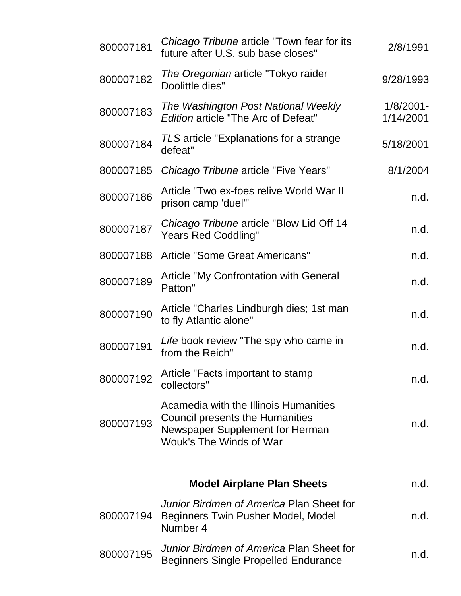| 800007181 | Chicago Tribune article "Town fear for its<br>future after U.S. sub base closes"                                                                     | 2/8/1991                  |
|-----------|------------------------------------------------------------------------------------------------------------------------------------------------------|---------------------------|
| 800007182 | The Oregonian article "Tokyo raider<br>Doolittle dies"                                                                                               | 9/28/1993                 |
| 800007183 | The Washington Post National Weekly<br><b>Edition article "The Arc of Defeat"</b>                                                                    | $1/8/2001 -$<br>1/14/2001 |
| 800007184 | TLS article "Explanations for a strange<br>defeat"                                                                                                   | 5/18/2001                 |
| 800007185 | Chicago Tribune article "Five Years"                                                                                                                 | 8/1/2004                  |
| 800007186 | Article "Two ex-foes relive World War II<br>prison camp 'duel'"                                                                                      | n.d.                      |
| 800007187 | Chicago Tribune article "Blow Lid Off 14<br><b>Years Red Coddling"</b>                                                                               | n.d.                      |
| 800007188 | Article "Some Great Americans"                                                                                                                       | n.d.                      |
| 800007189 | <b>Article "My Confrontation with General</b><br>Patton"                                                                                             | n.d.                      |
| 800007190 | Article "Charles Lindburgh dies; 1st man<br>to fly Atlantic alone"                                                                                   | n.d.                      |
| 800007191 | Life book review "The spy who came in<br>from the Reich"                                                                                             | n.d.                      |
| 800007192 | Article "Facts important to stamp<br>collectors"                                                                                                     | n.d.                      |
| 800007193 | Acamedia with the Illinois Humanities<br><b>Council presents the Humanities</b><br>Newspaper Supplement for Herman<br><b>Wouk's The Winds of War</b> | n.d.                      |
|           | <b>Model Airplane Plan Sheets</b>                                                                                                                    | n.d.                      |
| 800007194 | Junior Birdmen of America Plan Sheet for<br>Beginners Twin Pusher Model, Model<br>Number 4                                                           | n.d.                      |
| 800007195 | Junior Birdmen of America Plan Sheet for<br><b>Beginners Single Propelled Endurance</b>                                                              | n.d.                      |